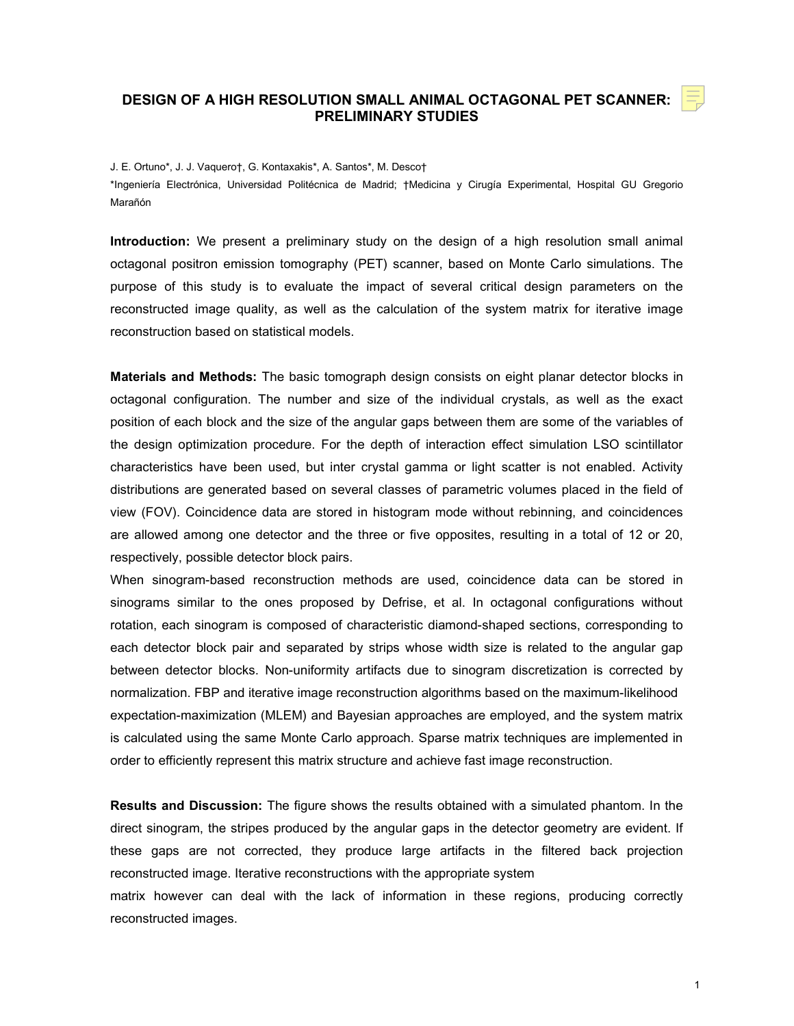## **DESIGN OF A HIGH RESOLUTION SMALL ANIMAL OCTAGONAL PET SCANNER: PRELIMINARY STUDIES**

## J. E. Ortuno\*, J. J. Vaquero†, G. Kontaxakis\*, A. Santos\*, M. Desco†

\*Ingeniería Electrónica, Universidad Politécnica de Madrid; †Medicina y Cirugía Experimental, Hospital GU Gregorio Marañón

**Introduction:** We present a preliminary study on the design of a high resolution small animal octagonal positron emission tomography (PET) scanner, based on Monte Carlo simulations. The purpose of this study is to evaluate the impact of several critical design parameters on the reconstructed image quality, as well as the calculation of the system matrix for iterative image reconstruction based on statistical models.

**Materials and Methods:** The basic tomograph design consists on eight planar detector blocks in octagonal configuration. The number and size of the individual crystals, as well as the exact position of each block and the size of the angular gaps between them are some of the variables of the design optimization procedure. For the depth of interaction effect simulation LSO scintillator characteristics have been used, but inter crystal gamma or light scatter is not enabled. Activity distributions are generated based on several classes of parametric volumes placed in the field of view (FOV). Coincidence data are stored in histogram mode without rebinning, and coincidences are allowed among one detector and the three or five opposites, resulting in a total of 12 or 20, respectively, possible detector block pairs.

When sinogram-based reconstruction methods are used, coincidence data can be stored in sinograms similar to the ones proposed by Defrise, et al. In octagonal configurations without rotation, each sinogram is composed of characteristic diamond-shaped sections, corresponding to each detector block pair and separated by strips whose width size is related to the angular gap between detector blocks. Non-uniformity artifacts due to sinogram discretization is corrected by normalization. FBP and iterative image reconstruction algorithms based on the maximum-likelihood expectation-maximization (MLEM) and Bayesian approaches are employed, and the system matrix is calculated using the same Monte Carlo approach. Sparse matrix techniques are implemented in order to efficiently represent this matrix structure and achieve fast image reconstruction.

**Results and Discussion:** The figure shows the results obtained with a simulated phantom. In the direct sinogram, the stripes produced by the angular gaps in the detector geometry are evident. If these gaps are not corrected, they produce large artifacts in the filtered back projection reconstructed image. Iterative reconstructions with the appropriate system

matrix however can deal with the lack of information in these regions, producing correctly reconstructed images.